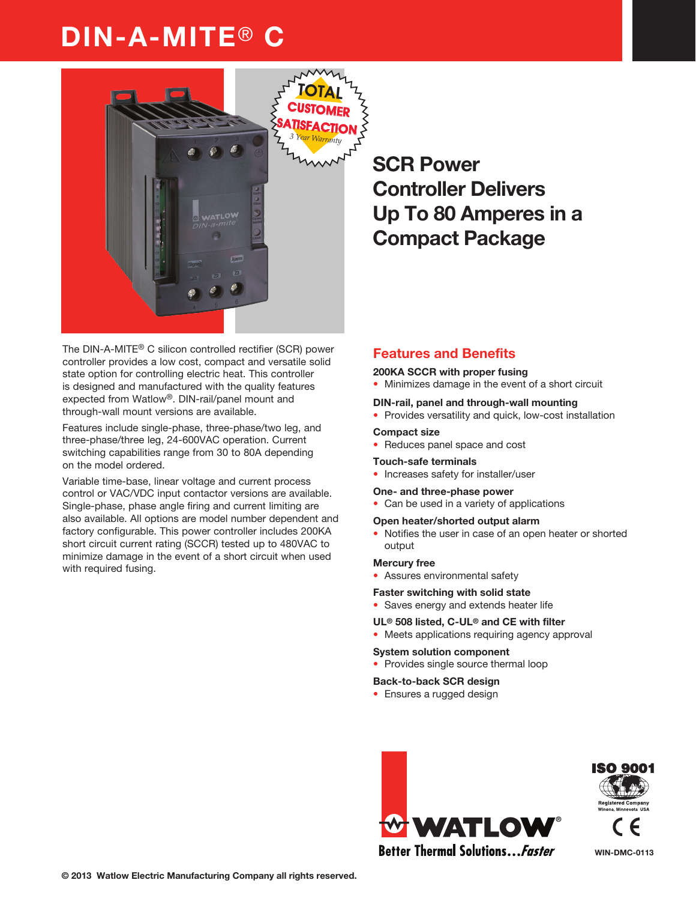# DIN-A-MITE® C



The DIN-A-MITE® C silicon controlled rectifier (SCR) power controller provides a low cost, compact and versatile solid state option for controlling electric heat. This controller is designed and manufactured with the quality features expected from Watlow®. DIN-rail/panel mount and through-wall mount versions are available.

Features include single-phase, three-phase/two leg, and three-phase/three leg, 24-600VAC operation. Current switching capabilities range from 30 to 80A depending on the model ordered.

Variable time-base, linear voltage and current process control or VAC/VDC input contactor versions are available. Single-phase, phase angle firing and current limiting are also available. All options are model number dependent and factory configurable. This power controller includes 200KA short circuit current rating (SCCR) tested up to 480VAC to minimize damage in the event of a short circuit when used with required fusing.

## SCR Power Controller Delivers Up To 80 Amperes in a Compact Package

### Features and Benefits

### 200KA SCCR with proper fusing

• Minimizes damage in the event of a short circuit

#### DIN-rail, panel and through-wall mounting

• Provides versatility and quick, low-cost installation

#### Compact size

Reduces panel space and cost

#### Touch-safe terminals

• Increases safety for installer/user

#### One- and three-phase power

• Can be used in a variety of applications

#### Open heater/shorted output alarm

• Notifies the user in case of an open heater or shorted output

#### Mercury free

• Assures environmental safety

#### Faster switching with solid state

• Saves energy and extends heater life

#### UL® 508 listed, C-UL® and CE with filter

• Meets applications requiring agency approval

#### System solution component

• Provides single source thermal loop

#### Back-to-back SCR design

• Ensures a rugged design





WIN-DMC-0113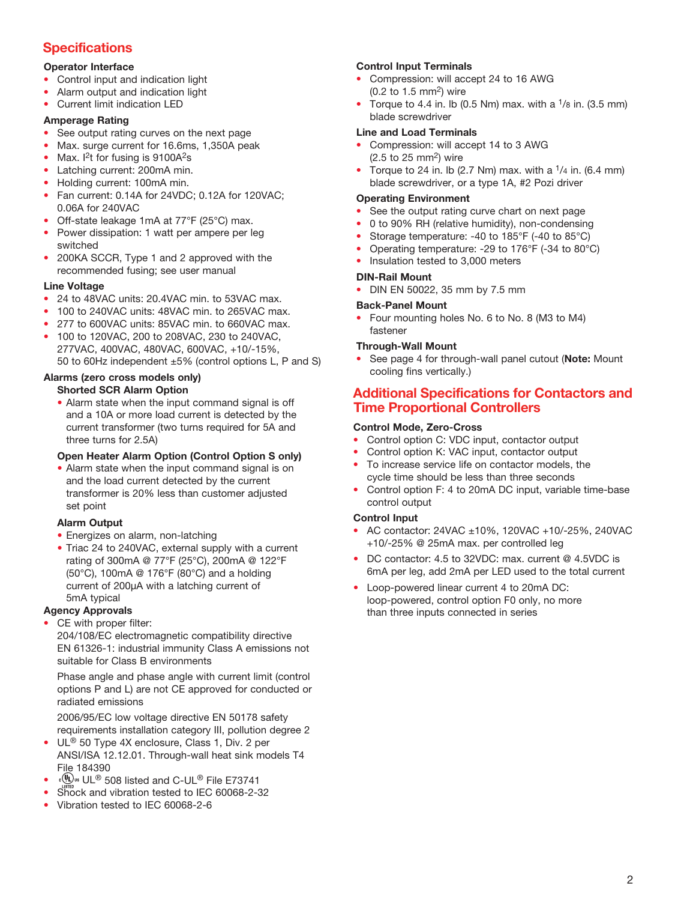### **Specifications**

### Operator Interface

- Control input and indication light
- Alarm output and indication light
- Current limit indication LED

### Amperage Rating

- See output rating curves on the next page
- Max. surge current for 16.6ms, 1,350A peak
- Max.  $I<sup>2</sup>t$  for fusing is 9100A $2s$
- Latching current: 200mA min.
- Holding current: 100mA min.
- Fan current: 0.14A for 24VDC; 0.12A for 120VAC; 0.06A for 240VAC
- Off-state leakage 1mA at 77°F (25°C) max.
- Power dissipation: 1 watt per ampere per leg switched
- 200KA SCCR, Type 1 and 2 approved with the recommended fusing; see user manual

### Line Voltage

- 24 to 48VAC units: 20.4VAC min. to 53VAC max.
- 100 to 240VAC units: 48VAC min. to 265VAC max.
- 277 to 600VAC units: 85VAC min. to 660VAC max.
- 100 to 120VAC, 200 to 208VAC, 230 to 240VAC, 277VAC, 400VAC, 480VAC, 600VAC, +10/-15%, 50 to 60Hz independent ±5% (control options L, P and S)

### Alarms (zero cross models only)

### Shorted SCR Alarm Option

• Alarm state when the input command signal is off and a 10A or more load current is detected by the current transformer (two turns required for 5A and three turns for 2.5A)

### Open Heater Alarm Option (Control Option S only)

• Alarm state when the input command signal is on and the load current detected by the current transformer is 20% less than customer adjusted set point

### Alarm Output

- Energizes on alarm, non-latching
- Triac 24 to 240VAC, external supply with a current rating of 300mA @ 77°F (25°C), 200mA @ 122°F (50°C), 100mA @ 176°F (80°C) and a holding current of 200µA with a latching current of 5mA typical

### Agency Approvals

CE with proper filter:

204/108/EC electromagnetic compatibility directive EN 61326-1: industrial immunity Class A emissions not suitable for Class B environments

Phase angle and phase angle with current limit (control options P and L) are not CE approved for conducted or radiated emissions

2006/95/EC low voltage directive EN 50178 safety requirements installation category III, pollution degree 2

- UL<sup>®</sup> 50 Type 4X enclosure, Class 1, Div. 2 per ANSI/ISA 12.12.01. Through-wall heat sink models T4 File 184390
- UL® 508 listed and C-UL® File E73741
- Shock and vibration tested to IEC 60068-2-32
- Vibration tested to IEC 60068-2-6

### Control Input Terminals

- Compression: will accept 24 to 16 AWG (0.2 to 1.5 mm2) wire
- Torque to 4.4 in. Ib (0.5 Nm) max. with a  $\frac{1}{8}$  in. (3.5 mm) blade screwdriver

### Line and Load Terminals

- Compression: will accept 14 to 3 AWG  $(2.5$  to 25 mm<sup>2</sup>) wire
- Torque to 24 in. Ib (2.7 Nm) max. with a  $1/4$  in. (6.4 mm) blade screwdriver, or a type 1A, #2 Pozi driver

### Operating Environment

- See the output rating curve chart on next page
- 0 to 90% RH (relative humidity), non-condensing
- Storage temperature: -40 to 185°F (-40 to 85°C)
- Operating temperature: -29 to 176°F (-34 to 80°C)
- Insulation tested to 3,000 meters

### DIN-Rail Mount

• DIN EN 50022, 35 mm by 7.5 mm

### Back-Panel Mount

• Four mounting holes No. 6 to No. 8 (M3 to M4) fastener

### Through-Wall Mount

See page 4 for through-wall panel cutout (Note: Mount cooling fins vertically.)

### Additional Specifications for Contactors and Time Proportional Controllers

### Control Mode, Zero-Cross

- Control option C: VDC input, contactor output
- Control option K: VAC input, contactor output
- To increase service life on contactor models, the cycle time should be less than three seconds
- Control option F: 4 to 20mA DC input, variable time-base control output

### Control Input

- AC contactor: 24VAC ±10%, 120VAC +10/-25%, 240VAC +10/-25% @ 25mA max. per controlled leg
- DC contactor: 4.5 to 32VDC: max. current @ 4.5VDC is 6mA per leg, add 2mA per LED used to the total current
- Loop-powered linear current 4 to 20mA DC: loop-powered, control option F0 only, no more than three inputs connected in series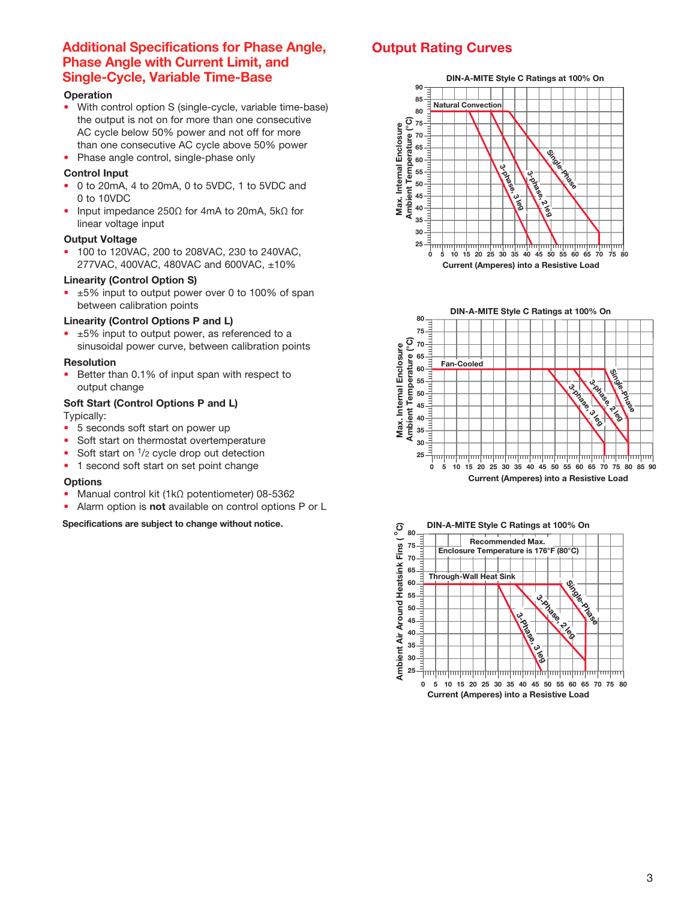### Additional Specifications for Phase Angle, Phase Angle with Current Limit, and Single-Cycle, Variable Time-Base

### **Operation**

- With control option S (single-cycle, variable time-base) the output is not on for more than one consecutive AC cycle below 50% power and not off for more than one consecutive AC cycle above 50% power
- Phase angle control, single-phase only

#### Control Input

- 0 to 20mA, 4 to 20mA, 0 to 5VDC, 1 to 5VDC and 0 to 10VDC
- Input impedance 250Ω for 4mA to 20mA, 5kΩ for linear voltage input

#### Output Voltage

• 100 to 120VAC, 200 to 208VAC, 230 to 240VAC, 277VAC, 400VAC, 480VAC and 600VAC, ±10%

### Linearity (Control Option S)

• ±5% input to output power over 0 to 100% of span between calibration points

#### Linearity (Control Options P and L)

• ±5% input to output power, as referenced to a sinusoidal power curve, between calibration points

#### Resolution

• Better than 0.1% of input span with respect to output change

#### Soft Start (Control Options P and L) Typically:

- 5 seconds soft start on power up
- Soft start on thermostat overtemperature
- Soft start on  $\frac{1}{2}$  cycle drop out detection
- 1 second soft start on set point change

#### **Options**

- Manual control kit (1kΩ potentiometer) 08-5362
- Alarm option is not available on control options P or L

Specifications are subject to change without notice.

### Output Rating Curves

#### **DIN-A-MITE Style C Ratings at 100% On**





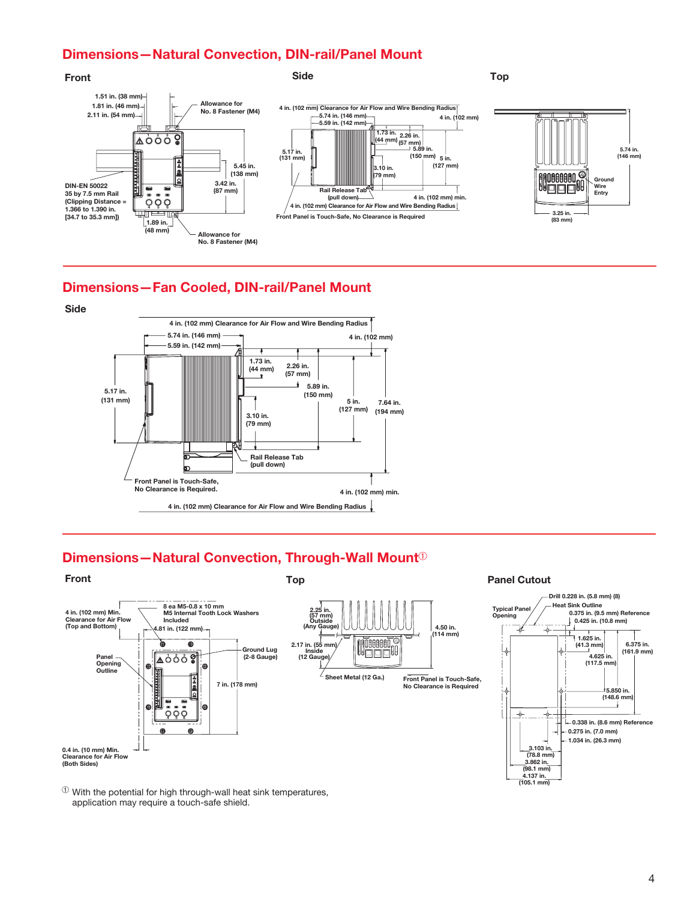### Dimensions—Natural Convection, DIN-rail/Panel Mount



### Dimensions—Fan Cooled, DIN-rail/Panel Mount



### Dimensions—Natural Convection, Through-Wall Mount $\Phi$



 $\Phi$  With the potential for high through-wall heat sink temperatures, application may require a touch-safe shield.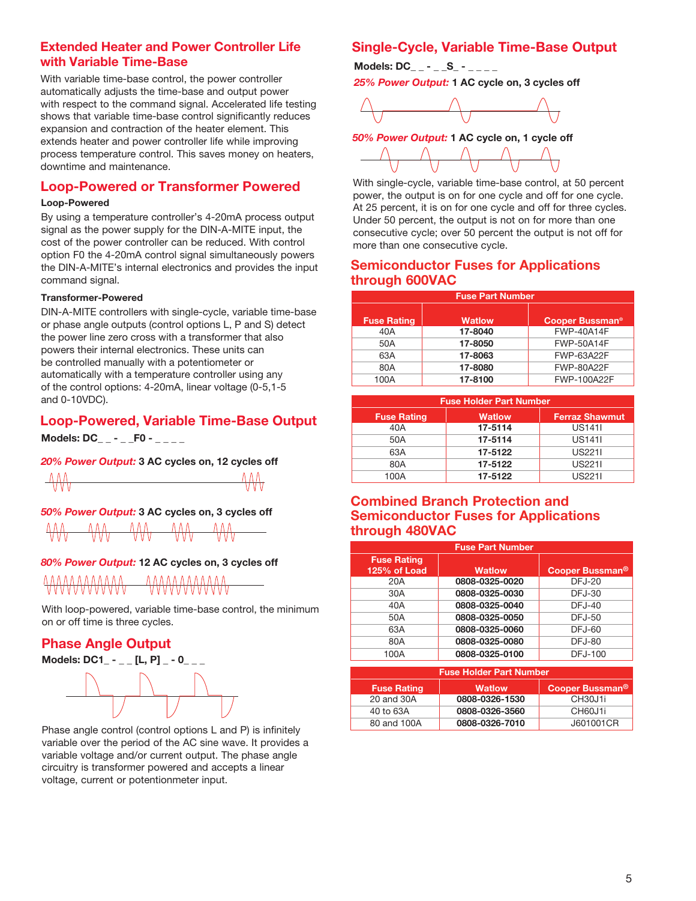### Extended Heater and Power Controller Life with Variable Time-Base

With variable time-base control, the power controller automatically adjusts the time-base and output power with respect to the command signal. Accelerated life testing shows that variable time-base control significantly reduces expansion and contraction of the heater element. This extends heater and power controller life while improving process temperature control. This saves money on heaters, downtime and maintenance.

### Loop-Powered or Transformer Powered

### Loop-Powered

By using a temperature controller's 4-20mA process output signal as the power supply for the DIN-A-MITE input, the cost of the power controller can be reduced. With control option F0 the 4-20mA control signal simultaneously powers the DIN-A-MITE's internal electronics and provides the input command signal.

### Transformer-Powered

DIN-A-MITE controllers with single-cycle, variable time-base or phase angle outputs (control options L, P and S) detect the power line zero cross with a transformer that also powers their internal electronics. These units can be controlled manually with a potentiometer or automatically with a temperature controller using any of the control options: 4-20mA, linear voltage (0-5,1-5 and 0-10VDC).

### Loop-Powered, Variable Time-Base Output

**Models: DC\_ \_ - \_ \_F0 - \_ \_ \_ \_**

*20% Power Output:* 3 AC cycles on, 12 cycles off



*50% Power Output:* 3 AC cycles on, 3 cycles off

| ___ | ___<br>__ | _ | ___<br>- |  |
|-----|-----------|---|----------|--|
|     |           |   |          |  |

### *80% Power Output:* 12 AC cycles on, 3 cycles off



With loop-powered, variable time-base control, the minimum on or off time is three cycles.

### Phase Angle Output

**Models: DC1\_ - \_ \_ [L, P] \_ - 0\_ \_ \_**



Phase angle control (control options L and P) is infinitely variable over the period of the AC sine wave. It provides a variable voltage and/or current output. The phase angle circuitry is transformer powered and accepts a linear voltage, current or potentionmeter input.

### Single-Cycle, Variable Time-Base Output

**Models: DC\_ \_ - \_ \_S\_ - \_ \_ \_** 

*25% Power Output:* 1 AC cycle on, 3 cycles off



*50% Power Output:* 1 AC cycle on, 1 cycle off



With single-cycle, variable time-base control, at 50 percent power, the output is on for one cycle and off for one cycle. At 25 percent, it is on for one cycle and off for three cycles. Under 50 percent, the output is not on for more than one consecutive cycle; over 50 percent the output is not off for more than one consecutive cycle.

### Semiconductor Fuses for Applications through 600VAC

| <b>Fuse Part Number</b> |               |                                   |  |  |
|-------------------------|---------------|-----------------------------------|--|--|
| <b>Fuse Rating</b>      | <b>Watlow</b> | <b>Cooper Bussman<sup>®</sup></b> |  |  |
| 40A                     | 17-8040       | <b>FWP-40A14F</b>                 |  |  |
| 50A                     | 17-8050       | <b>FWP-50A14F</b>                 |  |  |
| 63A                     | 17-8063       | FWP-63A22F                        |  |  |
| 80A                     | 17-8080       | <b>FWP-80A22F</b>                 |  |  |
| 100A                    | 17-8100       | <b>FWP-100A22F</b>                |  |  |

| <b>Fuse Holder Part Number</b> |               |                       |  |  |
|--------------------------------|---------------|-----------------------|--|--|
| <b>Fuse Rating</b>             | <b>Watlow</b> | <b>Ferraz Shawmut</b> |  |  |
| 40A                            | 17-5114       | <b>US141I</b>         |  |  |
| 50A                            | 17-5114       | <b>US141I</b>         |  |  |
| 63A                            | 17-5122       | <b>US2211</b>         |  |  |
| 80A                            | 17-5122       | <b>US2211</b>         |  |  |
| 100A                           | 17-5122       | US <sub>2211</sub>    |  |  |

### Combined Branch Protection and Semiconductor Fuses for Applications through 480VAC

| <b>Fuse Part Number</b>            |                |                             |  |
|------------------------------------|----------------|-----------------------------|--|
| <b>Fuse Rating</b><br>125% of Load | <b>Watlow</b>  | Cooper Bussman <sup>®</sup> |  |
| 20A                                | 0808-0325-0020 | <b>DFJ-20</b>               |  |
| 30A                                | 0808-0325-0030 | DFJ-30                      |  |
| 40A                                | 0808-0325-0040 | $DFJ-40$                    |  |
| 50A                                | 0808-0325-0050 | DFJ-50                      |  |
| 63A                                | 0808-0325-0060 | DFJ-60                      |  |
| 80A                                | 0808-0325-0080 | <b>DFJ-80</b>               |  |
| 100A                               | 0808-0325-0100 | <b>DFJ-100</b>              |  |

| <b>Fuse Holder Part Number</b> |                |                             |  |
|--------------------------------|----------------|-----------------------------|--|
| <b>Fuse Rating</b>             | <b>Watlow</b>  | Cooper Bussman <sup>®</sup> |  |
| 20 and 30A                     | 0808-0326-1530 | CH30J1i                     |  |
| 40 to 63A                      | 0808-0326-3560 | CH60J1i                     |  |
| 80 and 100A                    | 0808-0326-7010 | J601001CR                   |  |